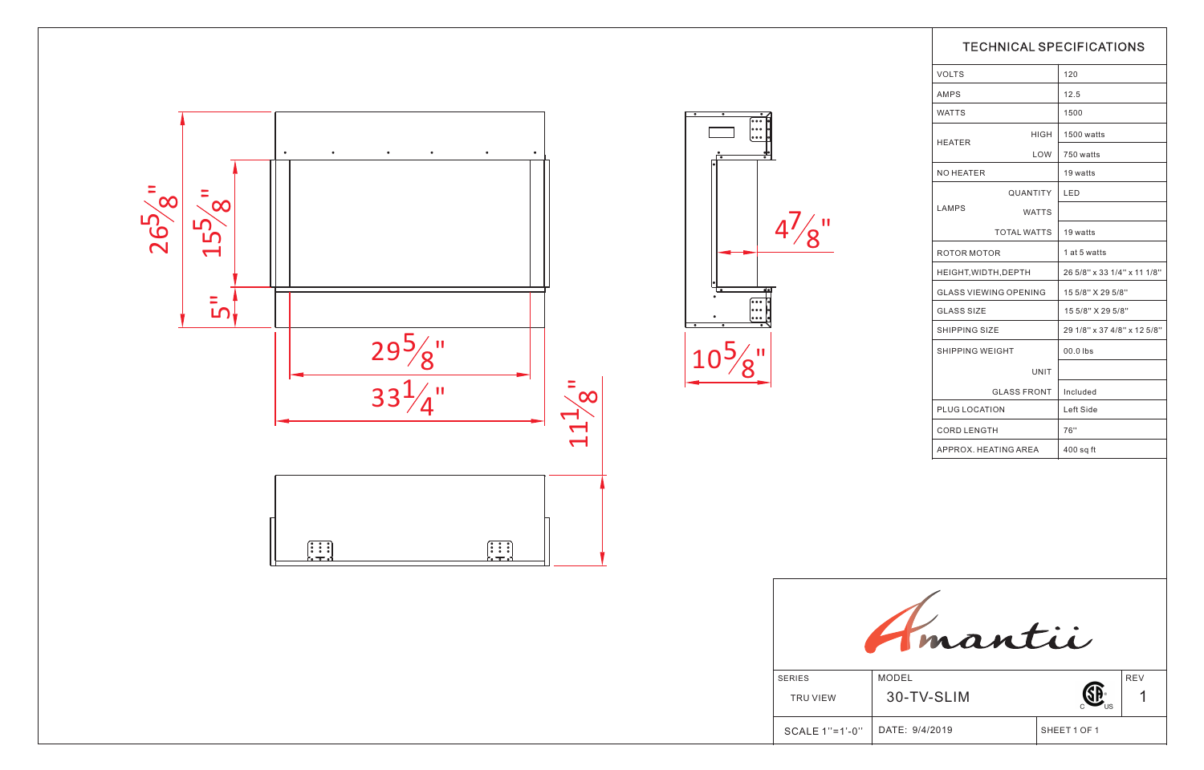|                | <b>TECHNICAL SPECIFICATIONS</b> |              |                             |            |  |  |
|----------------|---------------------------------|--------------|-----------------------------|------------|--|--|
|                | <b>VOLTS</b>                    |              | 120                         |            |  |  |
|                | AMPS                            |              | 12.5                        |            |  |  |
|                | <b>WATTS</b>                    |              | 1500                        |            |  |  |
|                |                                 | <b>HIGH</b>  | 1500 watts                  |            |  |  |
|                | HEATER                          | LOW          | 750 watts                   |            |  |  |
|                | NO HEATER                       |              | 19 watts                    |            |  |  |
|                | QUANTITY                        |              | LED                         |            |  |  |
|                | LAMPS                           | <b>WATTS</b> |                             |            |  |  |
|                | <b>TOTAL WATTS</b>              |              | 19 watts                    |            |  |  |
|                | ROTOR MOTOR                     |              | 1 at 5 watts                |            |  |  |
|                | HEIGHT, WIDTH, DEPTH            |              | 26 5/8" x 33 1/4" x 11 1/8" |            |  |  |
|                | <b>GLASS VIEWING OPENING</b>    |              | 15 5/8" X 29 5/8"           |            |  |  |
| $\frac{1}{2}$  | <b>GLASS SIZE</b>               |              | 15 5/8" X 29 5/8"           |            |  |  |
|                | <b>SHIPPING SIZE</b>            |              | 29 1/8" x 37 4/8" x 12 5/8" |            |  |  |
|                | <b>SHIPPING WEIGHT</b>          |              | $00.0$ lbs                  |            |  |  |
|                |                                 | <b>UNIT</b>  |                             |            |  |  |
|                | <b>GLASS FRONT</b>              |              | Included                    |            |  |  |
|                | PLUG LOCATION                   |              | Left Side                   |            |  |  |
|                | <b>CORD LENGTH</b>              |              | 76"                         |            |  |  |
|                | APPROX. HEATING AREA            |              | $400$ sq ft                 |            |  |  |
|                |                                 |              |                             |            |  |  |
| <b>SERIES</b>  | mantii<br><b>MODEL</b>          |              |                             | <b>REV</b> |  |  |
| TRU VIEW       | 30-TV-SLIM                      |              |                             | 1          |  |  |
|                |                                 |              |                             |            |  |  |
| SCALE 1"=1'-0" | DATE: 9/4/2019                  |              | SHEET 1 OF 1                |            |  |  |